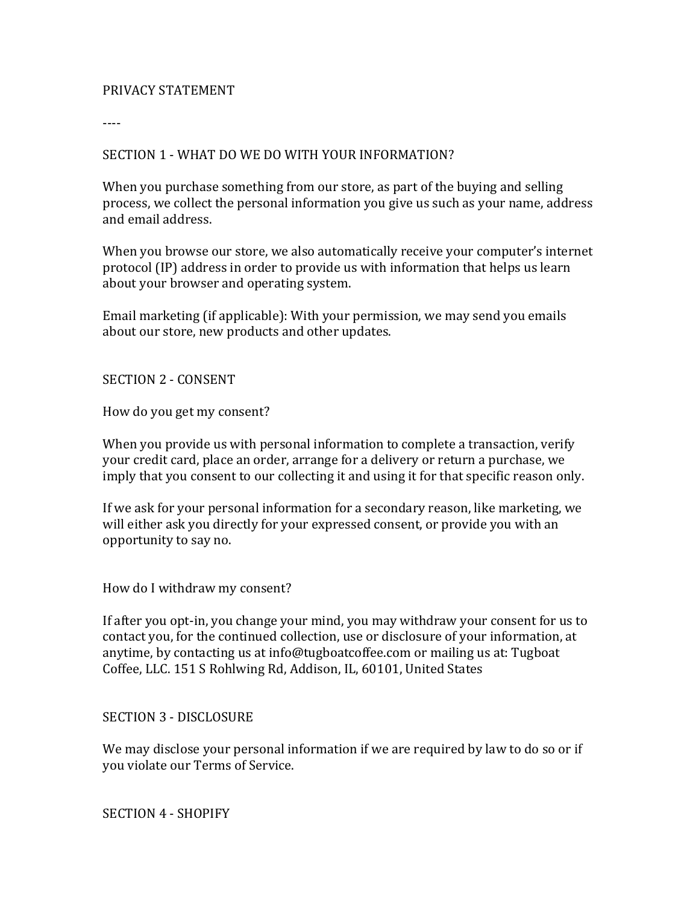#### PRIVACY STATEMENT

----

#### SECTION 1 - WHAT DO WE DO WITH YOUR INFORMATION?

When you purchase something from our store, as part of the buying and selling process, we collect the personal information you give us such as your name, address and email address.

When you browse our store, we also automatically receive your computer's internet protocol (IP) address in order to provide us with information that helps us learn about your browser and operating system.

Email marketing (if applicable): With your permission, we may send you emails about our store, new products and other updates.

#### SECTION 2 - CONSENT

How do you get my consent?

When you provide us with personal information to complete a transaction, verify your credit card, place an order, arrange for a delivery or return a purchase, we imply that you consent to our collecting it and using it for that specific reason only.

If we ask for your personal information for a secondary reason, like marketing, we will either ask you directly for your expressed consent, or provide you with an opportunity to say no.

How do I withdraw my consent?

If after you opt-in, you change your mind, you may withdraw your consent for us to contact you, for the continued collection, use or disclosure of your information, at anytime, by contacting us at info@tugboatcoffee.com or mailing us at: Tugboat Coffee, LLC. 151 S Rohlwing Rd, Addison, IL, 60101, United States

#### SECTION 3 - DISCLOSURE

We may disclose your personal information if we are required by law to do so or if you violate our Terms of Service.

SECTION 4 - SHOPIFY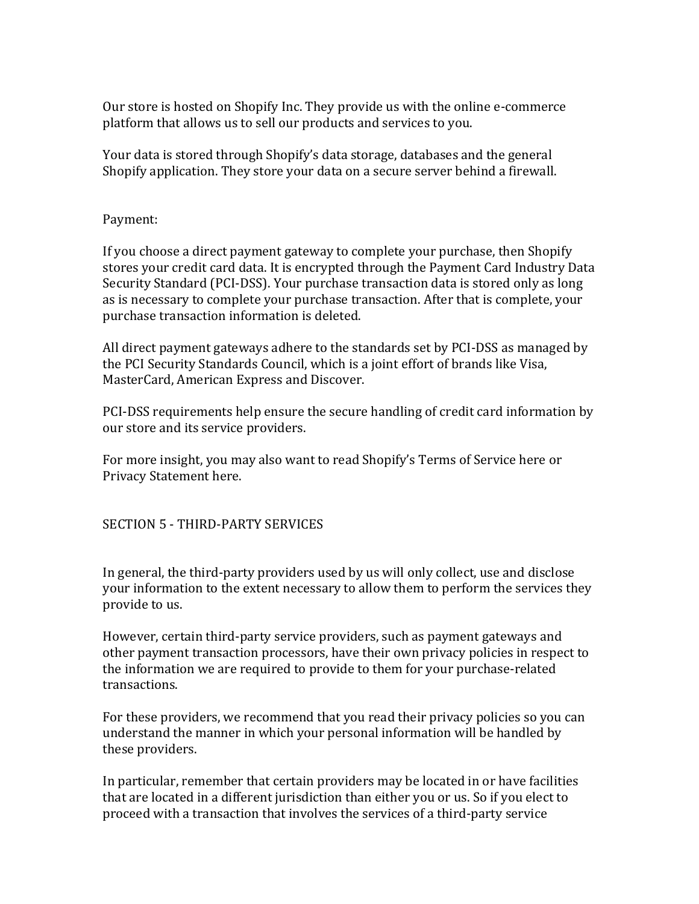Our store is hosted on Shopify Inc. They provide us with the online e-commerce platform that allows us to sell our products and services to you.

Your data is stored through Shopify's data storage, databases and the general Shopify application. They store your data on a secure server behind a firewall.

## Payment:

If you choose a direct payment gateway to complete your purchase, then Shopify stores your credit card data. It is encrypted through the Payment Card Industry Data Security Standard (PCI-DSS). Your purchase transaction data is stored only as long as is necessary to complete your purchase transaction. After that is complete, your purchase transaction information is deleted.

All direct payment gateways adhere to the standards set by PCI-DSS as managed by the PCI Security Standards Council, which is a joint effort of brands like Visa, MasterCard, American Express and Discover.

PCI-DSS requirements help ensure the secure handling of credit card information by our store and its service providers.

For more insight, you may also want to read Shopify's Terms of Service here or Privacy Statement here.

## SECTION 5 - THIRD-PARTY SERVICES

In general, the third-party providers used by us will only collect, use and disclose your information to the extent necessary to allow them to perform the services they provide to us.

However, certain third-party service providers, such as payment gateways and other payment transaction processors, have their own privacy policies in respect to the information we are required to provide to them for your purchase-related transactions.

For these providers, we recommend that you read their privacy policies so you can understand the manner in which your personal information will be handled by these providers.

In particular, remember that certain providers may be located in or have facilities that are located in a different jurisdiction than either you or us. So if you elect to proceed with a transaction that involves the services of a third-party service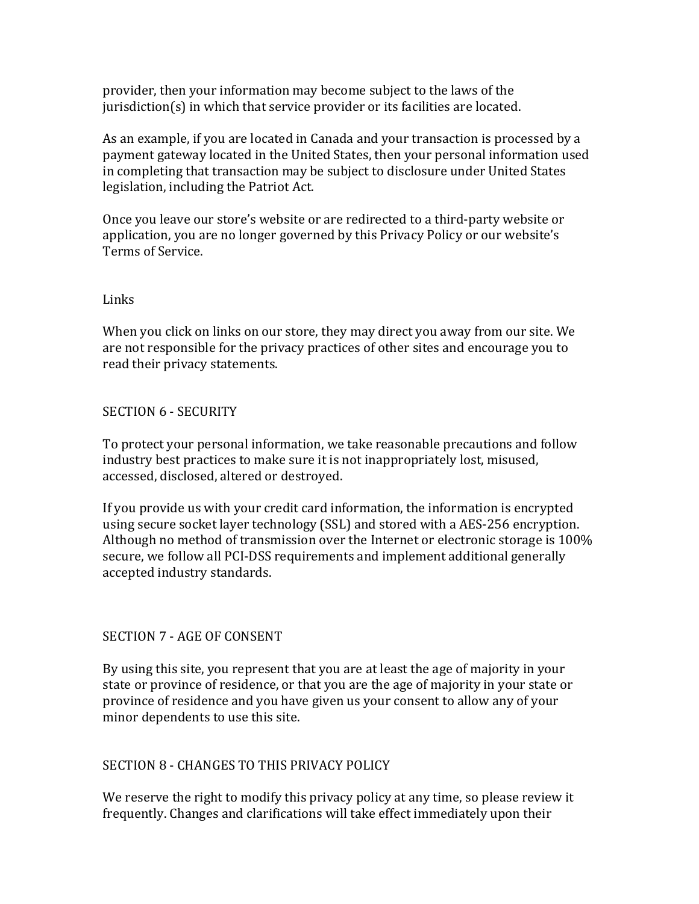provider, then your information may become subject to the laws of the  $j$ urisdiction $(s)$  in which that service provider or its facilities are located.

As an example, if you are located in Canada and your transaction is processed by a payment gateway located in the United States, then your personal information used in completing that transaction may be subject to disclosure under United States legislation, including the Patriot Act.

Once you leave our store's website or are redirected to a third-party website or application, you are no longer governed by this Privacy Policy or our website's Terms of Service.

## Links

When you click on links on our store, they may direct you away from our site. We are not responsible for the privacy practices of other sites and encourage you to read their privacy statements.

## SECTION 6 - SECURITY

To protect your personal information, we take reasonable precautions and follow industry best practices to make sure it is not inappropriately lost, misused, accessed, disclosed, altered or destroyed.

If you provide us with your credit card information, the information is encrypted using secure socket layer technology (SSL) and stored with a AES-256 encryption. Although no method of transmission over the Internet or electronic storage is  $100\%$ secure, we follow all PCI-DSS requirements and implement additional generally accepted industry standards.

# SECTION 7 - AGE OF CONSENT

By using this site, you represent that you are at least the age of majority in your state or province of residence, or that you are the age of majority in your state or province of residence and you have given us your consent to allow any of your minor dependents to use this site.

# SECTION 8 - CHANGES TO THIS PRIVACY POLICY

We reserve the right to modify this privacy policy at any time, so please review it frequently. Changes and clarifications will take effect immediately upon their